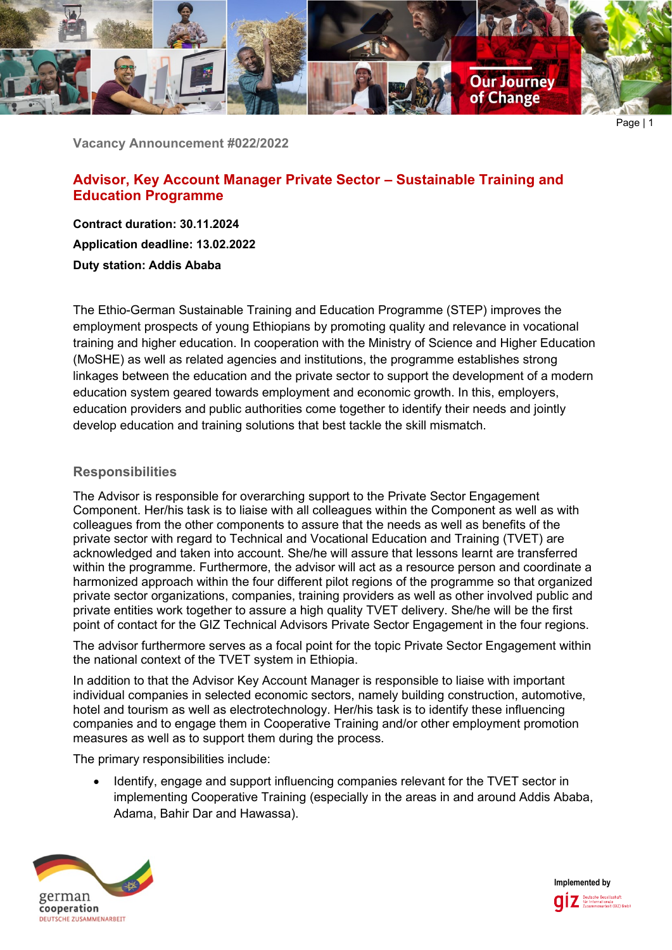

Page | 1

**Vacancy Announcement #022/2022**

# **Advisor, Key Account Manager Private Sector – Sustainable Training and Education Programme**

**Contract duration: 30.11.2024 Application deadline: 13.02.2022 Duty station: Addis Ababa**

The Ethio-German Sustainable Training and Education Programme (STEP) improves the employment prospects of young Ethiopians by promoting quality and relevance in vocational training and higher education. In cooperation with the Ministry of Science and Higher Education (MoSHE) as well as related agencies and institutions, the programme establishes strong linkages between the education and the private sector to support the development of a modern education system geared towards employment and economic growth. In this, employers, education providers and public authorities come together to identify their needs and jointly develop education and training solutions that best tackle the skill mismatch.

## **Responsibilities**

The Advisor is responsible for overarching support to the Private Sector Engagement Component. Her/his task is to liaise with all colleagues within the Component as well as with colleagues from the other components to assure that the needs as well as benefits of the private sector with regard to Technical and Vocational Education and Training (TVET) are acknowledged and taken into account. She/he will assure that lessons learnt are transferred within the programme. Furthermore, the advisor will act as a resource person and coordinate a harmonized approach within the four different pilot regions of the programme so that organized private sector organizations, companies, training providers as well as other involved public and private entities work together to assure a high quality TVET delivery. She/he will be the first point of contact for the GIZ Technical Advisors Private Sector Engagement in the four regions.

The advisor furthermore serves as a focal point for the topic Private Sector Engagement within the national context of the TVET system in Ethiopia.

In addition to that the Advisor Key Account Manager is responsible to liaise with important individual companies in selected economic sectors, namely building construction, automotive, hotel and tourism as well as electrotechnology. Her/his task is to identify these influencing companies and to engage them in Cooperative Training and/or other employment promotion measures as well as to support them during the process.

The primary responsibilities include:

• Identify, engage and support influencing companies relevant for the TVET sector in implementing Cooperative Training (especially in the areas in and around Addis Ababa, Adama, Bahir Dar and Hawassa).



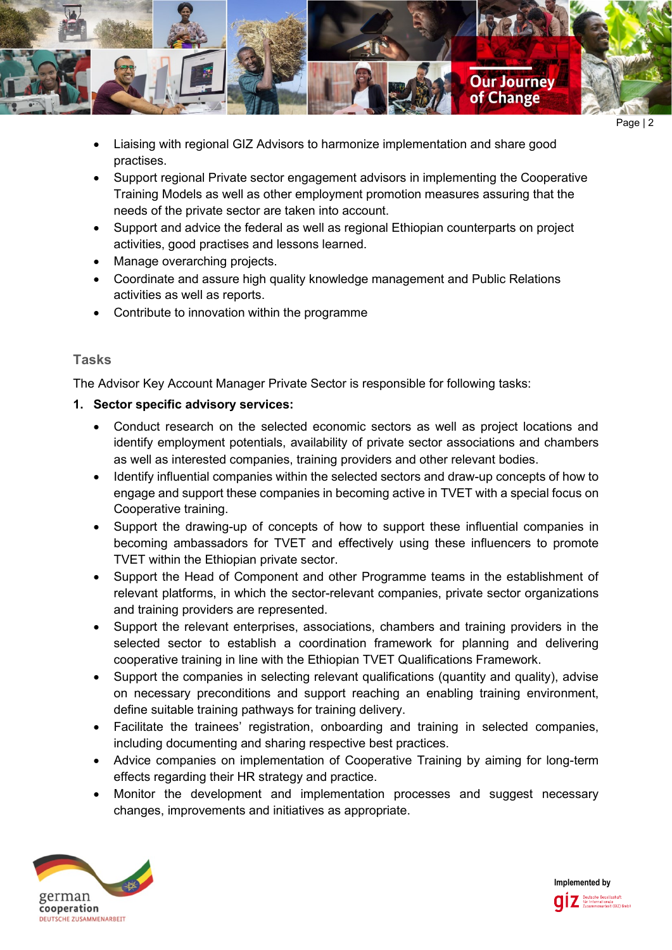

- Page | 2
- Liaising with regional GIZ Advisors to harmonize implementation and share good practises.
- Support regional Private sector engagement advisors in implementing the Cooperative Training Models as well as other employment promotion measures assuring that the needs of the private sector are taken into account.
- Support and advice the federal as well as regional Ethiopian counterparts on project activities, good practises and lessons learned.
- Manage overarching projects.
- Coordinate and assure high quality knowledge management and Public Relations activities as well as reports.
- Contribute to innovation within the programme

# **Tasks**

The Advisor Key Account Manager Private Sector is responsible for following tasks:

# **1. Sector specific advisory services:**

- Conduct research on the selected economic sectors as well as project locations and identify employment potentials, availability of private sector associations and chambers as well as interested companies, training providers and other relevant bodies.
- Identify influential companies within the selected sectors and draw-up concepts of how to engage and support these companies in becoming active in TVET with a special focus on Cooperative training.
- Support the drawing-up of concepts of how to support these influential companies in becoming ambassadors for TVET and effectively using these influencers to promote TVET within the Ethiopian private sector.
- Support the Head of Component and other Programme teams in the establishment of relevant platforms, in which the sector-relevant companies, private sector organizations and training providers are represented.
- Support the relevant enterprises, associations, chambers and training providers in the selected sector to establish a coordination framework for planning and delivering cooperative training in line with the Ethiopian TVET Qualifications Framework.
- Support the companies in selecting relevant qualifications (quantity and quality), advise on necessary preconditions and support reaching an enabling training environment, define suitable training pathways for training delivery.
- Facilitate the trainees' registration, onboarding and training in selected companies, including documenting and sharing respective best practices.
- Advice companies on implementation of Cooperative Training by aiming for long-term effects regarding their HR strategy and practice.
- Monitor the development and implementation processes and suggest necessary changes, improvements and initiatives as appropriate.



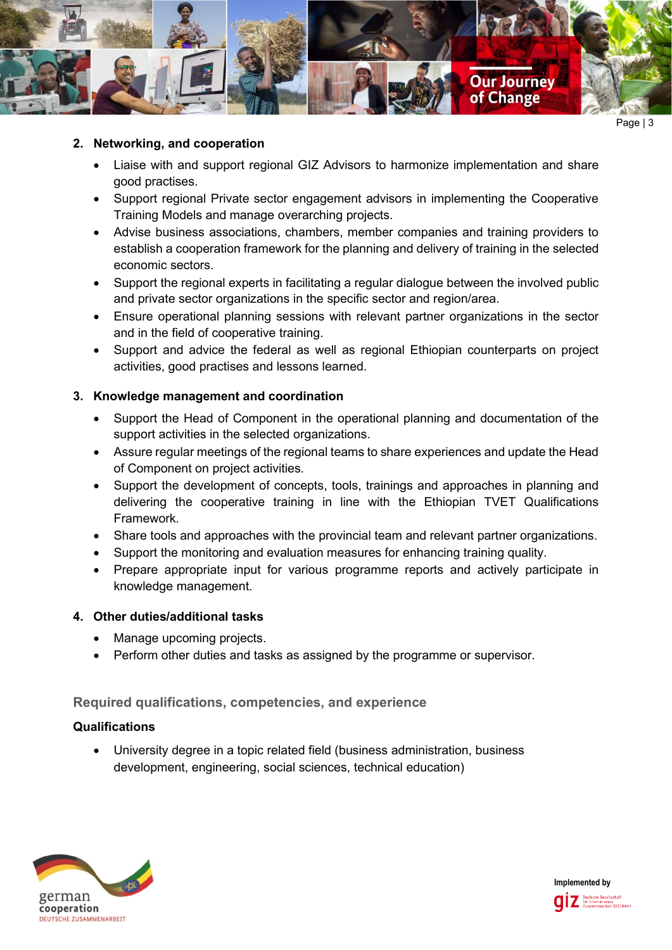

#### **2. Networking, and cooperation**

- Liaise with and support regional GIZ Advisors to harmonize implementation and share good practises.
- Support regional Private sector engagement advisors in implementing the Cooperative Training Models and manage overarching projects.
- Advise business associations, chambers, member companies and training providers to establish a cooperation framework for the planning and delivery of training in the selected economic sectors.
- Support the regional experts in facilitating a regular dialogue between the involved public and private sector organizations in the specific sector and region/area.
- Ensure operational planning sessions with relevant partner organizations in the sector and in the field of cooperative training.
- Support and advice the federal as well as regional Ethiopian counterparts on project activities, good practises and lessons learned.

## **3. Knowledge management and coordination**

- Support the Head of Component in the operational planning and documentation of the support activities in the selected organizations.
- Assure regular meetings of the regional teams to share experiences and update the Head of Component on project activities.
- Support the development of concepts, tools, trainings and approaches in planning and delivering the cooperative training in line with the Ethiopian TVET Qualifications Framework.
- Share tools and approaches with the provincial team and relevant partner organizations.
- Support the monitoring and evaluation measures for enhancing training quality.
- Prepare appropriate input for various programme reports and actively participate in knowledge management.

## **4. Other duties/additional tasks**

- Manage upcoming projects.
- Perform other duties and tasks as assigned by the programme or supervisor.

## **Required qualifications, competencies, and experience**

## **Qualifications**

• University degree in a topic related field (business administration, business development, engineering, social sciences, technical education)



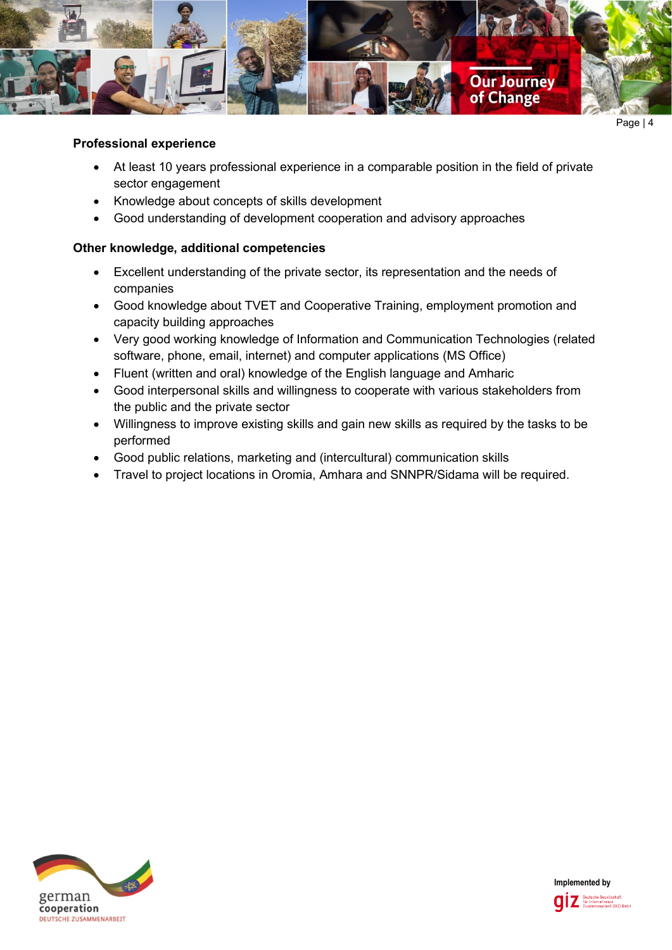

#### **Professional experience**

- At least 10 years professional experience in a comparable position in the field of private sector engagement
- Knowledge about concepts of skills development
- Good understanding of development cooperation and advisory approaches

## **Other knowledge, additional competencies**

- Excellent understanding of the private sector, its representation and the needs of companies
- Good knowledge about TVET and Cooperative Training, employment promotion and capacity building approaches
- Very good working knowledge of Information and Communication Technologies (related software, phone, email, internet) and computer applications (MS Office)
- Fluent (written and oral) knowledge of the English language and Amharic
- Good interpersonal skills and willingness to cooperate with various stakeholders from the public and the private sector
- Willingness to improve existing skills and gain new skills as required by the tasks to be performed
- Good public relations, marketing and (intercultural) communication skills
- Travel to project locations in Oromia, Amhara and SNNPR/Sidama will be required.